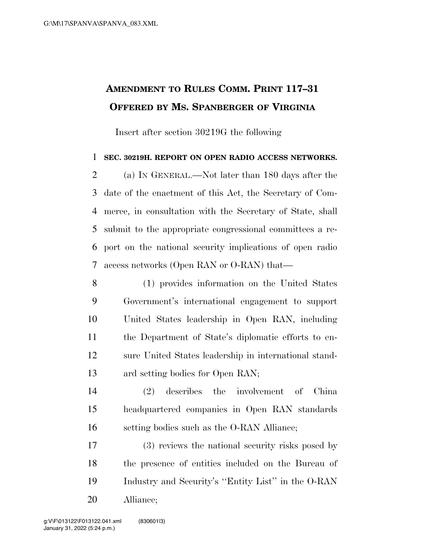## **AMENDMENT TO RULES COMM. PRINT 117–31 OFFERED BY MS. SPANBERGER OF VIRGINIA**

Insert after section 30219G the following

## **SEC. 30219H. REPORT ON OPEN RADIO ACCESS NETWORKS.**

 (a) IN GENERAL.—Not later than 180 days after the date of the enactment of this Act, the Secretary of Com- merce, in consultation with the Secretary of State, shall submit to the appropriate congressional committees a re- port on the national security implications of open radio access networks (Open RAN or O-RAN) that—

 (1) provides information on the United States Government's international engagement to support United States leadership in Open RAN, including the Department of State's diplomatic efforts to en- sure United States leadership in international stand-ard setting bodies for Open RAN;

 (2) describes the involvement of China headquartered companies in Open RAN standards setting bodies such as the O-RAN Alliance;

 (3) reviews the national security risks posed by the presence of entities included on the Bureau of Industry and Security's ''Entity List'' in the O-RAN Alliance;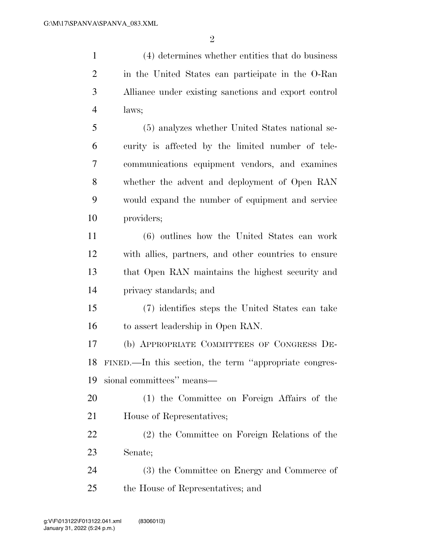(4) determines whether entities that do business in the United States can participate in the O-Ran Alliance under existing sanctions and export control laws;

 (5) analyzes whether United States national se- curity is affected by the limited number of tele- communications equipment vendors, and examines whether the advent and deployment of Open RAN would expand the number of equipment and service providers;

 (6) outlines how the United States can work with allies, partners, and other countries to ensure that Open RAN maintains the highest security and privacy standards; and

 (7) identifies steps the United States can take to assert leadership in Open RAN.

 (b) APPROPRIATE COMMITTEES OF CONGRESS DE- FINED.—In this section, the term ''appropriate congres-sional committees'' means—

 (1) the Committee on Foreign Affairs of the House of Representatives;

 (2) the Committee on Foreign Relations of the Senate;

 (3) the Committee on Energy and Commerce of the House of Representatives; and